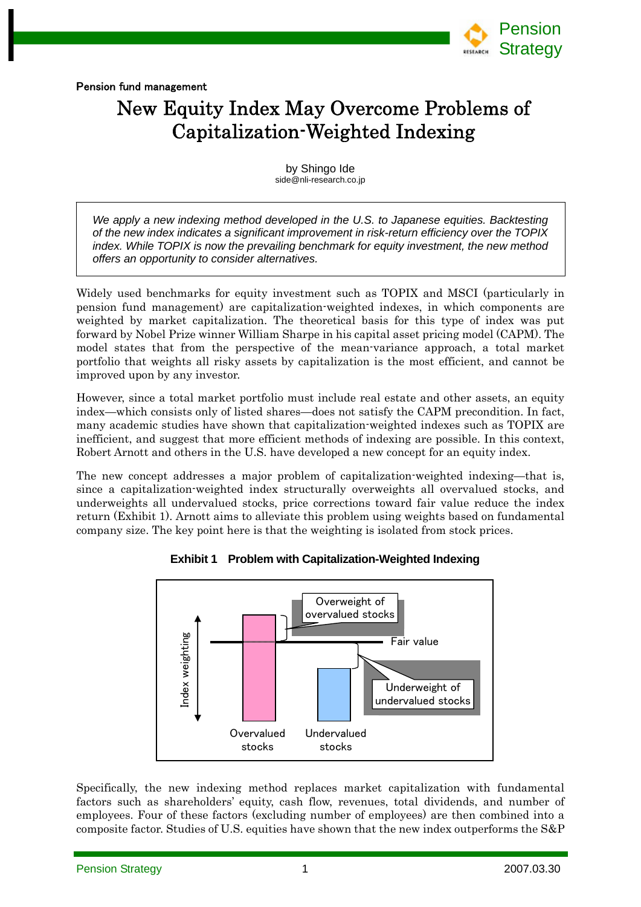

Pension fund management

## New Equity Index May Overcome Problems of Capitalization-Weighted Indexing

by Shingo Ide side@nli-research.co.jp

*We apply a new indexing method developed in the U.S. to Japanese equities. Backtesting of the new index indicates a significant improvement in risk-return efficiency over the TOPIX index. While TOPIX is now the prevailing benchmark for equity investment, the new method offers an opportunity to consider alternatives.* 

Widely used benchmarks for equity investment such as TOPIX and MSCI (particularly in pension fund management) are capitalization-weighted indexes, in which components are weighted by market capitalization. The theoretical basis for this type of index was put forward by Nobel Prize winner William Sharpe in his capital asset pricing model (CAPM). The model states that from the perspective of the mean-variance approach, a total market portfolio that weights all risky assets by capitalization is the most efficient, and cannot be improved upon by any investor.

However, since a total market portfolio must include real estate and other assets, an equity index—which consists only of listed shares—does not satisfy the CAPM precondition. In fact, many academic studies have shown that capitalization-weighted indexes such as TOPIX are inefficient, and suggest that more efficient methods of indexing are possible. In this context, Robert Arnott and others in the U.S. have developed a new concept for an equity index.

The new concept addresses a major problem of capitalization-weighted indexing—that is, since a capitalization-weighted index structurally overweights all overvalued stocks, and underweights all undervalued stocks, price corrections toward fair value reduce the index return (Exhibit 1). Arnott aims to alleviate this problem using weights based on fundamental company size. The key point here is that the weighting is isolated from stock prices.



**Exhibit 1 Problem with Capitalization-Weighted Indexing** 

Specifically, the new indexing method replaces market capitalization with fundamental factors such as shareholders' equity, cash flow, revenues, total dividends, and number of employees. Four of these factors (excluding number of employees) are then combined into a composite factor. Studies of U.S. equities have shown that the new index outperforms the S&P